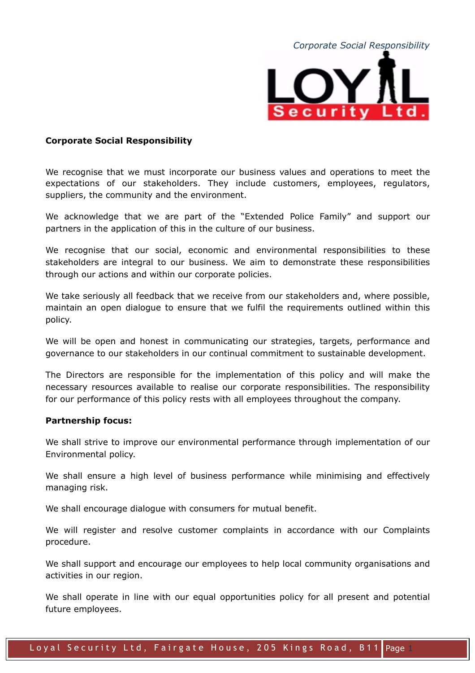

## **Corporate Social Responsibility**

We recognise that we must incorporate our business values and operations to meet the expectations of our stakeholders. They include customers, employees, regulators, suppliers, the community and the environment.

We acknowledge that we are part of the "Extended Police Family" and support our partners in the application of this in the culture of our business.

We recognise that our social, economic and environmental responsibilities to these stakeholders are integral to our business. We aim to demonstrate these responsibilities through our actions and within our corporate policies.

We take seriously all feedback that we receive from our stakeholders and, where possible, maintain an open dialogue to ensure that we fulfil the requirements outlined within this policy.

We will be open and honest in communicating our strategies, targets, performance and governance to our stakeholders in our continual commitment to sustainable development.

The Directors are responsible for the implementation of this policy and will make the necessary resources available to realise our corporate responsibilities. The responsibility for our performance of this policy rests with all employees throughout the company.

## **Partnership focus:**

We shall strive to improve our environmental performance through implementation of our Environmental policy.

We shall ensure a high level of business performance while minimising and effectively managing risk.

We shall encourage dialogue with consumers for mutual benefit.

We will register and resolve customer complaints in accordance with our Complaints procedure.

We shall support and encourage our employees to help local community organisations and activities in our region.

We shall operate in line with our equal opportunities policy for all present and potential future employees.